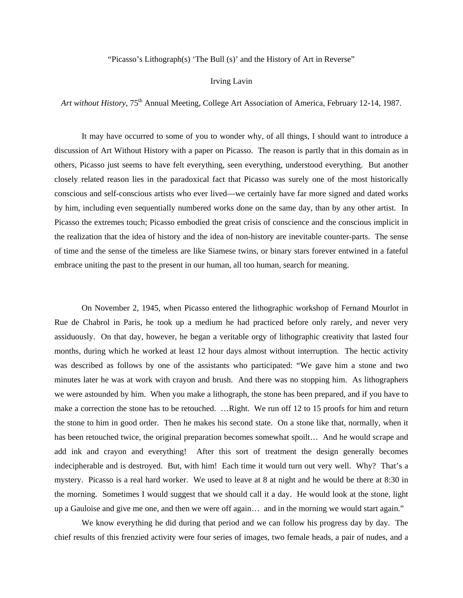"Picasso's Lithograph(s) 'The Bull (s)' and the History of Art in Reverse"

## Irving Lavin

*Art without History*, 75<sup>th</sup> Annual Meeting, College Art Association of America, February 12-14, 1987.

 It may have occurred to some of you to wonder why, of all things, I should want to introduce a discussion of Art Without History with a paper on Picasso. The reason is partly that in this domain as in others, Picasso just seems to have felt everything, seen everything, understood everything. But another closely related reason lies in the paradoxical fact that Picasso was surely one of the most historically conscious and self-conscious artists who ever lived—we certainly have far more signed and dated works by him, including even sequentially numbered works done on the same day, than by any other artist. In Picasso the extremes touch; Picasso embodied the great crisis of conscience and the conscious implicit in the realization that the idea of history and the idea of non-history are inevitable counter-parts. The sense of time and the sense of the timeless are like Siamese twins, or binary stars forever entwined in a fateful embrace uniting the past to the present in our human, all too human, search for meaning.

 On November 2, 1945, when Picasso entered the lithographic workshop of Fernand Mourlot in Rue de Chabrol in Paris, he took up a medium he had practiced before only rarely, and never very assiduously. On that day, however, he began a veritable orgy of lithographic creativity that lasted four months, during which he worked at least 12 hour days almost without interruption. The hectic activity was described as follows by one of the assistants who participated: "We gave him a stone and two minutes later he was at work with crayon and brush. And there was no stopping him. As lithographers we were astounded by him. When you make a lithograph, the stone has been prepared, and if you have to make a correction the stone has to be retouched. …Right. We run off 12 to 15 proofs for him and return the stone to him in good order. Then he makes his second state. On a stone like that, normally, when it has been retouched twice, the original preparation becomes somewhat spoilt... And he would scrape and add ink and crayon and everything! After this sort of treatment the design generally becomes indecipherable and is destroyed. But, with him! Each time it would turn out very well. Why? That's a mystery. Picasso is a real hard worker. We used to leave at 8 at night and he would be there at 8:30 in the morning. Sometimes I would suggest that we should call it a day. He would look at the stone, light up a Gauloise and give me one, and then we were off again… and in the morning we would start again."

 We know everything he did during that period and we can follow his progress day by day. The chief results of this frenzied activity were four series of images, two female heads, a pair of nudes, and a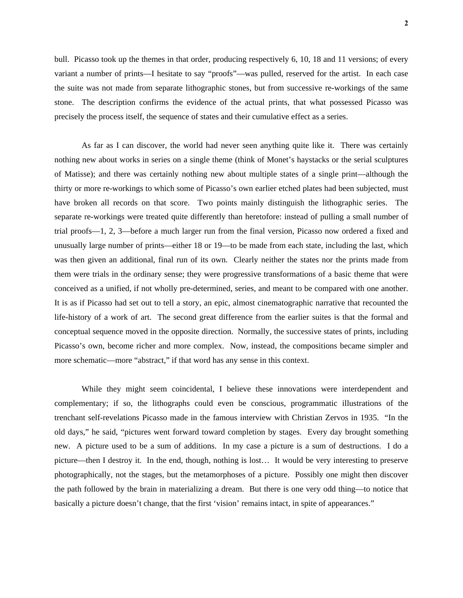**2**

bull. Picasso took up the themes in that order, producing respectively 6, 10, 18 and 11 versions; of every variant a number of prints—I hesitate to say "proofs"—was pulled, reserved for the artist. In each case the suite was not made from separate lithographic stones, but from successive re-workings of the same stone. The description confirms the evidence of the actual prints, that what possessed Picasso was precisely the process itself, the sequence of states and their cumulative effect as a series.

 As far as I can discover, the world had never seen anything quite like it. There was certainly nothing new about works in series on a single theme (think of Monet's haystacks or the serial sculptures of Matisse); and there was certainly nothing new about multiple states of a single print—although the thirty or more re-workings to which some of Picasso's own earlier etched plates had been subjected, must have broken all records on that score. Two points mainly distinguish the lithographic series. The separate re-workings were treated quite differently than heretofore: instead of pulling a small number of trial proofs—1, 2, 3—before a much larger run from the final version, Picasso now ordered a fixed and unusually large number of prints—either 18 or 19—to be made from each state, including the last, which was then given an additional, final run of its own. Clearly neither the states nor the prints made from them were trials in the ordinary sense; they were progressive transformations of a basic theme that were conceived as a unified, if not wholly pre-determined, series, and meant to be compared with one another. It is as if Picasso had set out to tell a story, an epic, almost cinematographic narrative that recounted the life-history of a work of art. The second great difference from the earlier suites is that the formal and conceptual sequence moved in the opposite direction. Normally, the successive states of prints, including Picasso's own, become richer and more complex. Now, instead, the compositions became simpler and more schematic—more "abstract," if that word has any sense in this context.

 While they might seem coincidental, I believe these innovations were interdependent and complementary; if so, the lithographs could even be conscious, programmatic illustrations of the trenchant self-revelations Picasso made in the famous interview with Christian Zervos in 1935. "In the old days," he said, "pictures went forward toward completion by stages. Every day brought something new. A picture used to be a sum of additions. In my case a picture is a sum of destructions. I do a picture—then I destroy it. In the end, though, nothing is lost… It would be very interesting to preserve photographically, not the stages, but the metamorphoses of a picture. Possibly one might then discover the path followed by the brain in materializing a dream. But there is one very odd thing—to notice that basically a picture doesn't change, that the first 'vision' remains intact, in spite of appearances."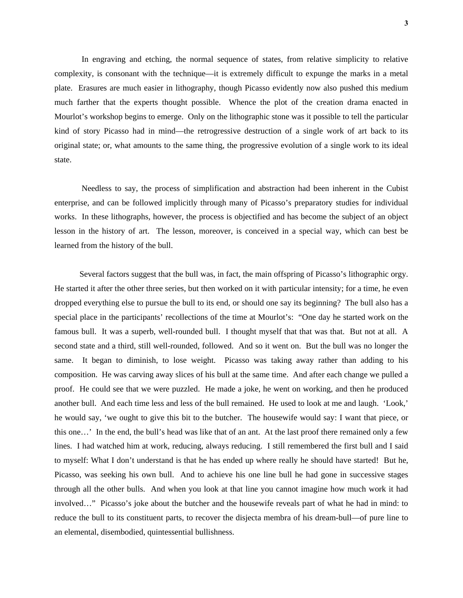In engraving and etching, the normal sequence of states, from relative simplicity to relative complexity, is consonant with the technique—it is extremely difficult to expunge the marks in a metal plate. Erasures are much easier in lithography, though Picasso evidently now also pushed this medium much farther that the experts thought possible. Whence the plot of the creation drama enacted in Mourlot's workshop begins to emerge. Only on the lithographic stone was it possible to tell the particular kind of story Picasso had in mind—the retrogressive destruction of a single work of art back to its original state; or, what amounts to the same thing, the progressive evolution of a single work to its ideal state.

 Needless to say, the process of simplification and abstraction had been inherent in the Cubist enterprise, and can be followed implicitly through many of Picasso's preparatory studies for individual works. In these lithographs, however, the process is objectified and has become the subject of an object lesson in the history of art. The lesson, moreover, is conceived in a special way, which can best be learned from the history of the bull.

 Several factors suggest that the bull was, in fact, the main offspring of Picasso's lithographic orgy. He started it after the other three series, but then worked on it with particular intensity; for a time, he even dropped everything else to pursue the bull to its end, or should one say its beginning? The bull also has a special place in the participants' recollections of the time at Mourlot's: "One day he started work on the famous bull. It was a superb, well-rounded bull. I thought myself that that was that. But not at all. A second state and a third, still well-rounded, followed. And so it went on. But the bull was no longer the same. It began to diminish, to lose weight. Picasso was taking away rather than adding to his composition. He was carving away slices of his bull at the same time. And after each change we pulled a proof. He could see that we were puzzled. He made a joke, he went on working, and then he produced another bull. And each time less and less of the bull remained. He used to look at me and laugh. 'Look,' he would say, 'we ought to give this bit to the butcher. The housewife would say: I want that piece, or this one…' In the end, the bull's head was like that of an ant. At the last proof there remained only a few lines. I had watched him at work, reducing, always reducing. I still remembered the first bull and I said to myself: What I don't understand is that he has ended up where really he should have started! But he, Picasso, was seeking his own bull. And to achieve his one line bull he had gone in successive stages through all the other bulls. And when you look at that line you cannot imagine how much work it had involved…" Picasso's joke about the butcher and the housewife reveals part of what he had in mind: to reduce the bull to its constituent parts, to recover the disjecta membra of his dream-bull—of pure line to an elemental, disembodied, quintessential bullishness.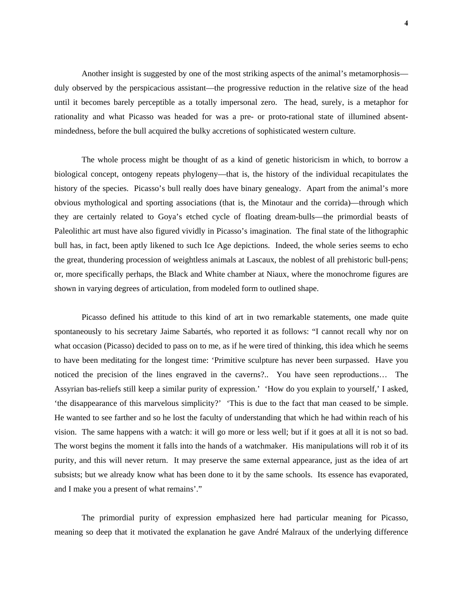Another insight is suggested by one of the most striking aspects of the animal's metamorphosis duly observed by the perspicacious assistant—the progressive reduction in the relative size of the head until it becomes barely perceptible as a totally impersonal zero. The head, surely, is a metaphor for rationality and what Picasso was headed for was a pre- or proto-rational state of illumined absentmindedness, before the bull acquired the bulky accretions of sophisticated western culture.

The whole process might be thought of as a kind of genetic historicism in which, to borrow a biological concept, ontogeny repeats phylogeny—that is, the history of the individual recapitulates the history of the species. Picasso's bull really does have binary genealogy. Apart from the animal's more obvious mythological and sporting associations (that is, the Minotaur and the corrida)—through which they are certainly related to Goya's etched cycle of floating dream-bulls—the primordial beasts of Paleolithic art must have also figured vividly in Picasso's imagination. The final state of the lithographic bull has, in fact, been aptly likened to such Ice Age depictions. Indeed, the whole series seems to echo the great, thundering procession of weightless animals at Lascaux, the noblest of all prehistoric bull-pens; or, more specifically perhaps, the Black and White chamber at Niaux, where the monochrome figures are shown in varying degrees of articulation, from modeled form to outlined shape.

Picasso defined his attitude to this kind of art in two remarkable statements, one made quite spontaneously to his secretary Jaime Sabartés, who reported it as follows: "I cannot recall why nor on what occasion (Picasso) decided to pass on to me, as if he were tired of thinking, this idea which he seems to have been meditating for the longest time: 'Primitive sculpture has never been surpassed. Have you noticed the precision of the lines engraved in the caverns?.. You have seen reproductions… The Assyrian bas-reliefs still keep a similar purity of expression.' 'How do you explain to yourself,' I asked, 'the disappearance of this marvelous simplicity?' 'This is due to the fact that man ceased to be simple. He wanted to see farther and so he lost the faculty of understanding that which he had within reach of his vision. The same happens with a watch: it will go more or less well; but if it goes at all it is not so bad. The worst begins the moment it falls into the hands of a watchmaker. His manipulations will rob it of its purity, and this will never return. It may preserve the same external appearance, just as the idea of art subsists; but we already know what has been done to it by the same schools. Its essence has evaporated, and I make you a present of what remains'."

The primordial purity of expression emphasized here had particular meaning for Picasso, meaning so deep that it motivated the explanation he gave André Malraux of the underlying difference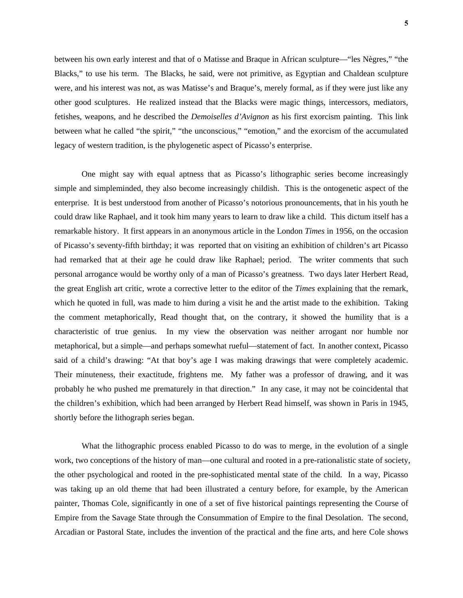between his own early interest and that of o Matisse and Braque in African sculpture—"les Nègres," "the Blacks," to use his term. The Blacks, he said, were not primitive, as Egyptian and Chaldean sculpture were, and his interest was not, as was Matisse's and Braque's, merely formal, as if they were just like any other good sculptures. He realized instead that the Blacks were magic things, intercessors, mediators, fetishes, weapons, and he described the *Demoiselles d'Avignon* as his first exorcism painting. This link between what he called "the spirit," "the unconscious," "emotion," and the exorcism of the accumulated legacy of western tradition, is the phylogenetic aspect of Picasso's enterprise.

One might say with equal aptness that as Picasso's lithographic series become increasingly simple and simpleminded, they also become increasingly childish. This is the ontogenetic aspect of the enterprise. It is best understood from another of Picasso's notorious pronouncements, that in his youth he could draw like Raphael, and it took him many years to learn to draw like a child. This dictum itself has a remarkable history. It first appears in an anonymous article in the London *Times* in 1956, on the occasion of Picasso's seventy-fifth birthday; it was reported that on visiting an exhibition of children's art Picasso had remarked that at their age he could draw like Raphael; period. The writer comments that such personal arrogance would be worthy only of a man of Picasso's greatness. Two days later Herbert Read, the great English art critic, wrote a corrective letter to the editor of the *Times* explaining that the remark, which he quoted in full, was made to him during a visit he and the artist made to the exhibition. Taking the comment metaphorically, Read thought that, on the contrary, it showed the humility that is a characteristic of true genius. In my view the observation was neither arrogant nor humble nor metaphorical, but a simple—and perhaps somewhat rueful—statement of fact. In another context, Picasso said of a child's drawing: "At that boy's age I was making drawings that were completely academic. Their minuteness, their exactitude, frightens me. My father was a professor of drawing, and it was probably he who pushed me prematurely in that direction." In any case, it may not be coincidental that the children's exhibition, which had been arranged by Herbert Read himself, was shown in Paris in 1945, shortly before the lithograph series began.

What the lithographic process enabled Picasso to do was to merge, in the evolution of a single work, two conceptions of the history of man—one cultural and rooted in a pre-rationalistic state of society, the other psychological and rooted in the pre-sophisticated mental state of the child. In a way, Picasso was taking up an old theme that had been illustrated a century before, for example, by the American painter, Thomas Cole, significantly in one of a set of five historical paintings representing the Course of Empire from the Savage State through the Consummation of Empire to the final Desolation. The second, Arcadian or Pastoral State, includes the invention of the practical and the fine arts, and here Cole shows